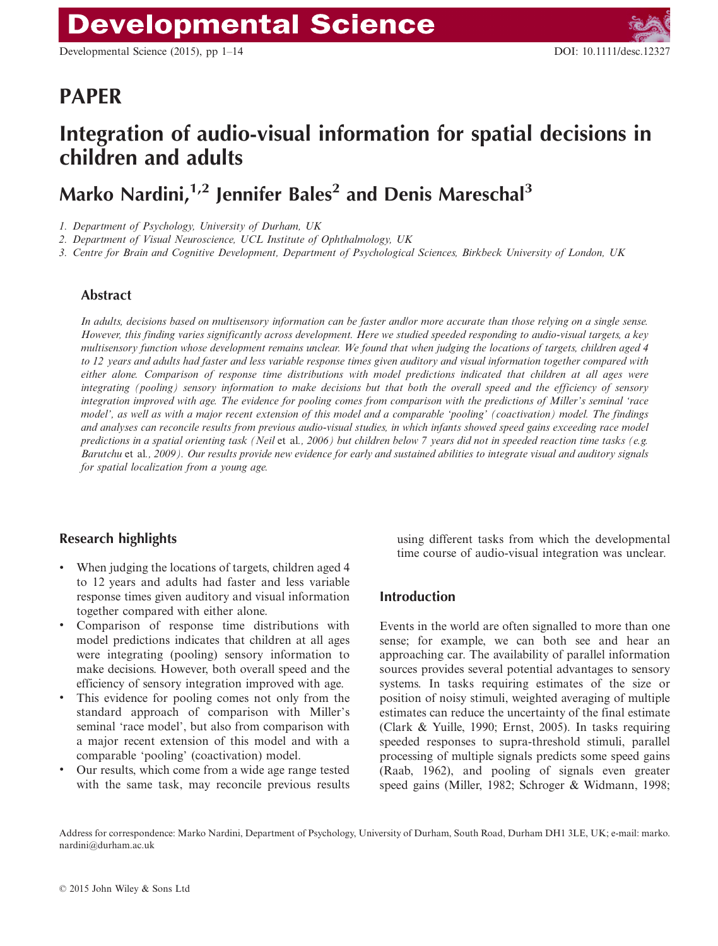# PAPER

# Integration of audio-visual information for spatial decisions in children and adults

# Marko Nardini, $1/2$  Jennifer Bales<sup>2</sup> and Denis Mareschal<sup>3</sup>

1. Department of Psychology, University of Durham, UK

2. Department of Visual Neuroscience, UCL Institute of Ophthalmology, UK

3. Centre for Brain and Cognitive Development, Department of Psychological Sciences, Birkbeck University of London, UK

# Abstract

In adults, decisions based on multisensory information can be faster and/or more accurate than those relying on a single sense. However, this finding varies significantly across development. Here we studied speeded responding to audio-visual targets, a key multisensory function whose development remains unclear. We found that when judging the locations of targets, children aged 4 to 12 years and adults had faster and less variable response times given auditory and visual information together compared with either alone. Comparison of response time distributions with model predictions indicated that children at all ages were integrating (pooling) sensory information to make decisions but that both the overall speed and the efficiency of sensory integration improved with age. The evidence for pooling comes from comparison with the predictions of Miller's seminal 'race model', as well as with a major recent extension of this model and a comparable 'pooling' (coactivation) model. The findings and analyses can reconcile results from previous audio-visual studies, in which infants showed speed gains exceeding race model predictions in a spatial orienting task (Neil et al., 2006) but children below 7 years did not in speeded reaction time tasks (e.g. Barutchu et al., 2009). Our results provide new evidence for early and sustained abilities to integrate visual and auditory signals for spatial localization from a young age.

# Research highlights

- When judging the locations of targets, children aged 4 to 12 years and adults had faster and less variable response times given auditory and visual information together compared with either alone.
- Comparison of response time distributions with model predictions indicates that children at all ages were integrating (pooling) sensory information to make decisions. However, both overall speed and the efficiency of sensory integration improved with age.
- This evidence for pooling comes not only from the standard approach of comparison with Miller's seminal 'race model', but also from comparison with a major recent extension of this model and with a comparable 'pooling' (coactivation) model.
- Our results, which come from a wide age range tested with the same task, may reconcile previous results

using different tasks from which the developmental time course of audio-visual integration was unclear.

## **Introduction**

Events in the world are often signalled to more than one sense; for example, we can both see and hear an approaching car. The availability of parallel information sources provides several potential advantages to sensory systems. In tasks requiring estimates of the size or position of noisy stimuli, weighted averaging of multiple estimates can reduce the uncertainty of the final estimate (Clark & Yuille, 1990; Ernst, 2005). In tasks requiring speeded responses to supra-threshold stimuli, parallel processing of multiple signals predicts some speed gains (Raab, 1962), and pooling of signals even greater speed gains (Miller, 1982; Schroger & Widmann, 1998;

Address for correspondence: Marko Nardini, Department of Psychology, University of Durham, South Road, Durham DH1 3LE, UK; e-mail: marko. nardini@durham.ac.uk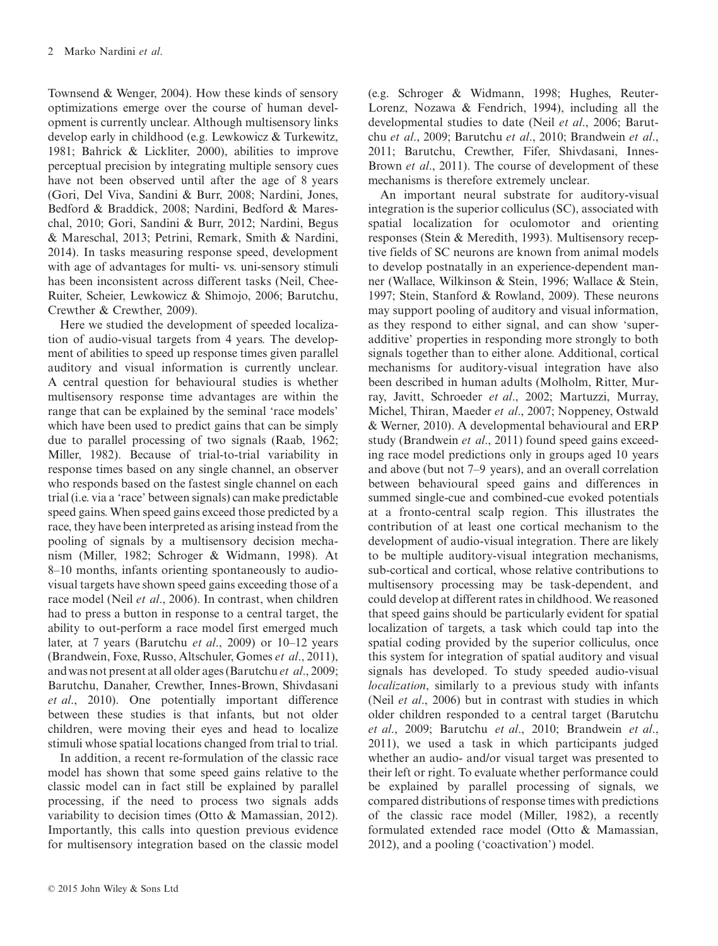Townsend & Wenger, 2004). How these kinds of sensory optimizations emerge over the course of human development is currently unclear. Although multisensory links develop early in childhood (e.g. Lewkowicz & Turkewitz, 1981; Bahrick & Lickliter, 2000), abilities to improve perceptual precision by integrating multiple sensory cues have not been observed until after the age of 8 years (Gori, Del Viva, Sandini & Burr, 2008; Nardini, Jones, Bedford & Braddick, 2008; Nardini, Bedford & Mareschal, 2010; Gori, Sandini & Burr, 2012; Nardini, Begus & Mareschal, 2013; Petrini, Remark, Smith & Nardini, 2014). In tasks measuring response speed, development with age of advantages for multi- vs. uni-sensory stimuli has been inconsistent across different tasks (Neil, Chee-Ruiter, Scheier, Lewkowicz & Shimojo, 2006; Barutchu, Crewther & Crewther, 2009).

Here we studied the development of speeded localization of audio-visual targets from 4 years. The development of abilities to speed up response times given parallel auditory and visual information is currently unclear. A central question for behavioural studies is whether multisensory response time advantages are within the range that can be explained by the seminal 'race models' which have been used to predict gains that can be simply due to parallel processing of two signals (Raab, 1962; Miller, 1982). Because of trial-to-trial variability in response times based on any single channel, an observer who responds based on the fastest single channel on each trial (i.e. via a 'race' between signals) can make predictable speed gains. When speed gains exceed those predicted by a race, they have been interpreted as arising instead from the pooling of signals by a multisensory decision mechanism (Miller, 1982; Schroger & Widmann, 1998). At 8–10 months, infants orienting spontaneously to audiovisual targets have shown speed gains exceeding those of a race model (Neil et al., 2006). In contrast, when children had to press a button in response to a central target, the ability to out-perform a race model first emerged much later, at 7 years (Barutchu et al., 2009) or 10–12 years (Brandwein, Foxe, Russo, Altschuler, Gomes et al., 2011), andwas not present at all older ages (Barutchu et al., 2009; Barutchu, Danaher, Crewther, Innes-Brown, Shivdasani et al., 2010). One potentially important difference between these studies is that infants, but not older children, were moving their eyes and head to localize stimuli whose spatial locations changed from trial to trial.

In addition, a recent re-formulation of the classic race model has shown that some speed gains relative to the classic model can in fact still be explained by parallel processing, if the need to process two signals adds variability to decision times (Otto & Mamassian, 2012). Importantly, this calls into question previous evidence for multisensory integration based on the classic model (e.g. Schroger & Widmann, 1998; Hughes, Reuter-Lorenz, Nozawa & Fendrich, 1994), including all the developmental studies to date (Neil et al., 2006; Barutchu et al., 2009; Barutchu et al., 2010; Brandwein et al., 2011; Barutchu, Crewther, Fifer, Shivdasani, Innes-Brown *et al.*, 2011). The course of development of these mechanisms is therefore extremely unclear.

An important neural substrate for auditory-visual integration is the superior colliculus (SC), associated with spatial localization for oculomotor and orienting responses (Stein & Meredith, 1993). Multisensory receptive fields of SC neurons are known from animal models to develop postnatally in an experience-dependent manner (Wallace, Wilkinson & Stein, 1996; Wallace & Stein, 1997; Stein, Stanford & Rowland, 2009). These neurons may support pooling of auditory and visual information, as they respond to either signal, and can show 'superadditive' properties in responding more strongly to both signals together than to either alone. Additional, cortical mechanisms for auditory-visual integration have also been described in human adults (Molholm, Ritter, Murray, Javitt, Schroeder et al., 2002; Martuzzi, Murray, Michel, Thiran, Maeder et al., 2007; Noppeney, Ostwald & Werner, 2010). A developmental behavioural and ERP study (Brandwein *et al.*, 2011) found speed gains exceeding race model predictions only in groups aged 10 years and above (but not 7–9 years), and an overall correlation between behavioural speed gains and differences in summed single-cue and combined-cue evoked potentials at a fronto-central scalp region. This illustrates the contribution of at least one cortical mechanism to the development of audio-visual integration. There are likely to be multiple auditory-visual integration mechanisms, sub-cortical and cortical, whose relative contributions to multisensory processing may be task-dependent, and could develop at different rates in childhood. We reasoned that speed gains should be particularly evident for spatial localization of targets, a task which could tap into the spatial coding provided by the superior colliculus, once this system for integration of spatial auditory and visual signals has developed. To study speeded audio-visual localization, similarly to a previous study with infants (Neil *et al.*, 2006) but in contrast with studies in which older children responded to a central target (Barutchu et al., 2009; Barutchu et al., 2010; Brandwein et al., 2011), we used a task in which participants judged whether an audio- and/or visual target was presented to their left or right. To evaluate whether performance could be explained by parallel processing of signals, we compared distributions of response times with predictions of the classic race model (Miller, 1982), a recently formulated extended race model (Otto & Mamassian, 2012), and a pooling ('coactivation') model.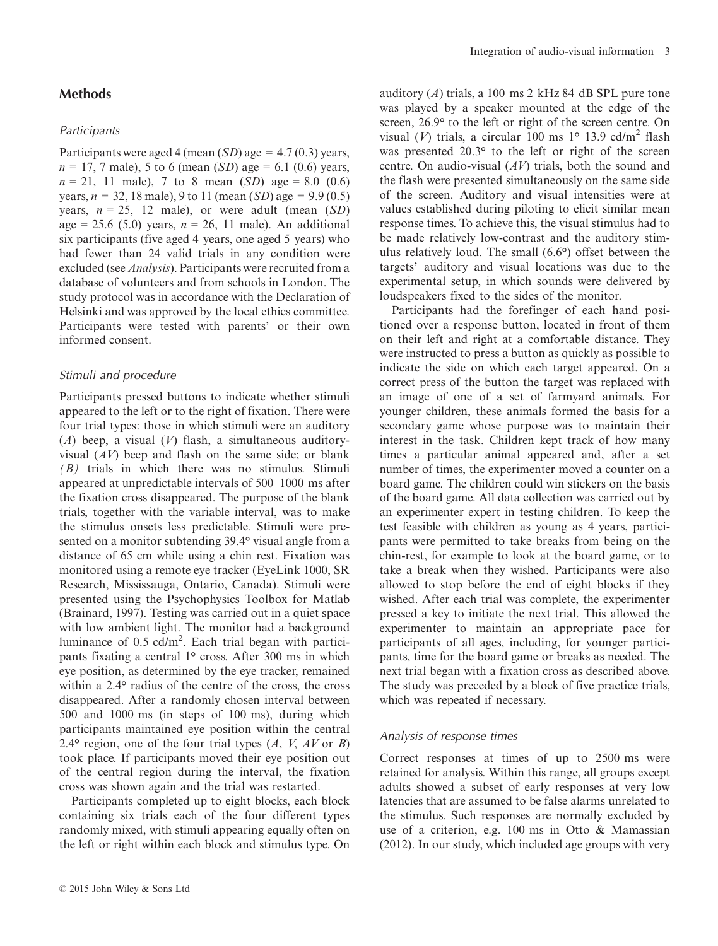## Methods

### **Participants**

Participants were aged 4 (mean  $(SD)$  age = 4.7  $(0.3)$  years,  $n = 17, 7$  male), 5 to 6 (mean (SD) age = 6.1 (0.6) years,  $n = 21$ , 11 male), 7 to 8 mean (SD) age = 8.0 (0.6) years,  $n = 32$ , 18 male), 9 to 11 (mean (SD) age = 9.9 (0.5) years,  $n = 25$ , 12 male), or were adult (mean (SD) age = 25.6 (5.0) years,  $n = 26$ , 11 male). An additional six participants (five aged 4 years, one aged 5 years) who had fewer than 24 valid trials in any condition were excluded (see Analysis). Participants were recruited from a database of volunteers and from schools in London. The study protocol was in accordance with the Declaration of Helsinki and was approved by the local ethics committee. Participants were tested with parents' or their own informed consent.

### Stimuli and procedure

Participants pressed buttons to indicate whether stimuli appeared to the left or to the right of fixation. There were four trial types: those in which stimuli were an auditory  $(A)$  beep, a visual  $(V)$  flash, a simultaneous auditoryvisual  $(AV)$  beep and flash on the same side; or blank  $(B)$  trials in which there was no stimulus. Stimuli appeared at unpredictable intervals of 500–1000 ms after the fixation cross disappeared. The purpose of the blank trials, together with the variable interval, was to make the stimulus onsets less predictable. Stimuli were presented on a monitor subtending 39.4° visual angle from a distance of 65 cm while using a chin rest. Fixation was monitored using a remote eye tracker (EyeLink 1000, SR Research, Mississauga, Ontario, Canada). Stimuli were presented using the Psychophysics Toolbox for Matlab (Brainard, 1997). Testing was carried out in a quiet space with low ambient light. The monitor had a background luminance of  $0.5$  cd/m<sup>2</sup>. Each trial began with participants fixating a central 1° cross. After 300 ms in which eye position, as determined by the eye tracker, remained within a 2.4° radius of the centre of the cross, the cross disappeared. After a randomly chosen interval between 500 and 1000 ms (in steps of 100 ms), during which participants maintained eye position within the central 2.4° region, one of the four trial types  $(A, V, AV$  or B) took place. If participants moved their eye position out of the central region during the interval, the fixation cross was shown again and the trial was restarted.

Participants completed up to eight blocks, each block containing six trials each of the four different types randomly mixed, with stimuli appearing equally often on the left or right within each block and stimulus type. On auditory  $(A)$  trials, a 100 ms 2 kHz 84 dB SPL pure tone was played by a speaker mounted at the edge of the screen, 26.9° to the left or right of the screen centre. On visual (V) trials, a circular 100 ms  $1^{\circ}$  13.9 cd/m<sup>2</sup> flash was presented 20.3° to the left or right of the screen centre. On audio-visual  $(AV)$  trials, both the sound and the flash were presented simultaneously on the same side of the screen. Auditory and visual intensities were at values established during piloting to elicit similar mean response times. To achieve this, the visual stimulus had to be made relatively low-contrast and the auditory stimulus relatively loud. The small (6.6°) offset between the targets' auditory and visual locations was due to the experimental setup, in which sounds were delivered by loudspeakers fixed to the sides of the monitor.

Participants had the forefinger of each hand positioned over a response button, located in front of them on their left and right at a comfortable distance. They were instructed to press a button as quickly as possible to indicate the side on which each target appeared. On a correct press of the button the target was replaced with an image of one of a set of farmyard animals. For younger children, these animals formed the basis for a secondary game whose purpose was to maintain their interest in the task. Children kept track of how many times a particular animal appeared and, after a set number of times, the experimenter moved a counter on a board game. The children could win stickers on the basis of the board game. All data collection was carried out by an experimenter expert in testing children. To keep the test feasible with children as young as 4 years, participants were permitted to take breaks from being on the chin-rest, for example to look at the board game, or to take a break when they wished. Participants were also allowed to stop before the end of eight blocks if they wished. After each trial was complete, the experimenter pressed a key to initiate the next trial. This allowed the experimenter to maintain an appropriate pace for participants of all ages, including, for younger participants, time for the board game or breaks as needed. The next trial began with a fixation cross as described above. The study was preceded by a block of five practice trials, which was repeated if necessary.

#### Analysis of response times

Correct responses at times of up to 2500 ms were retained for analysis. Within this range, all groups except adults showed a subset of early responses at very low latencies that are assumed to be false alarms unrelated to the stimulus. Such responses are normally excluded by use of a criterion, e.g. 100 ms in Otto & Mamassian (2012). In our study, which included age groups with very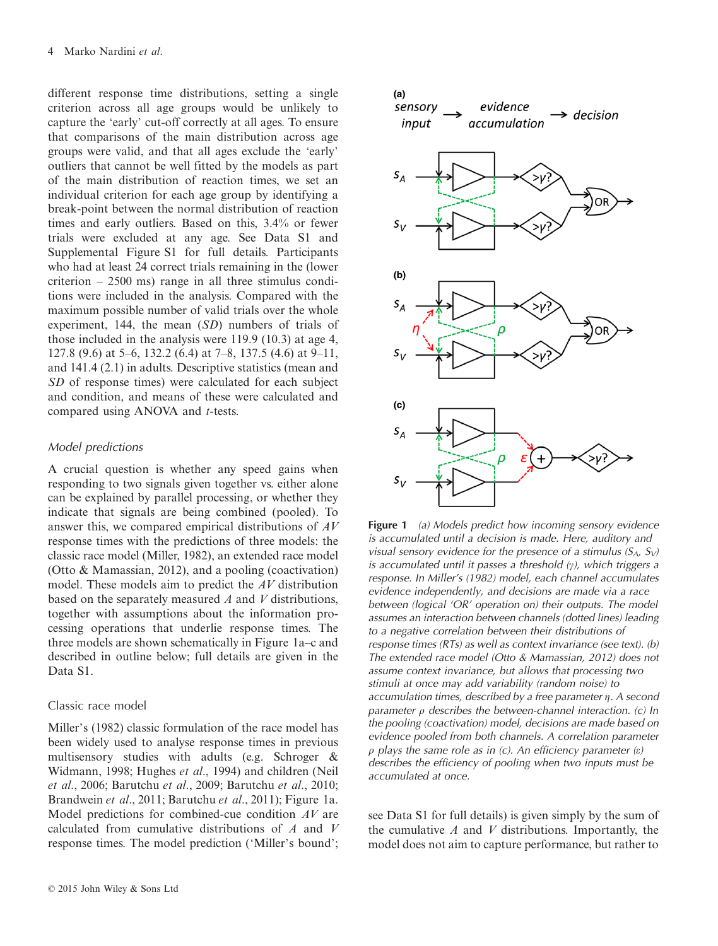different response time distributions, setting a single criterion across all age groups would be unlikely to capture the 'early' cut-off correctly at all ages. To ensure that comparisons of the main distribution across age groups were valid, and that all ages exclude the 'early' outliers that cannot be well fitted by the models as part of the main distribution of reaction times, we set an individual criterion for each age group by identifying a break-point between the normal distribution of reaction times and early outliers. Based on this, 3.4% or fewer trials were excluded at any age. See Data S1 and Supplemental Figure S1 for full details. Participants who had at least 24 correct trials remaining in the (lower criterion – 2500 ms) range in all three stimulus conditions were included in the analysis. Compared with the maximum possible number of valid trials over the whole experiment, 144, the mean (SD) numbers of trials of those included in the analysis were 119.9 (10.3) at age 4, 127.8 (9.6) at 5–6, 132.2 (6.4) at 7–8, 137.5 (4.6) at 9–11, and 141.4 (2.1) in adults. Descriptive statistics (mean and SD of response times) were calculated for each subject and condition, and means of these were calculated and compared using ANOVA and *t*-tests.

#### Model predictions

A crucial question is whether any speed gains when responding to two signals given together vs. either alone can be explained by parallel processing, or whether they indicate that signals are being combined (pooled). To answer this, we compared empirical distributions of AV response times with the predictions of three models: the classic race model (Miller, 1982), an extended race model (Otto & Mamassian, 2012), and a pooling (coactivation) model. These models aim to predict the AV distribution based on the separately measured  $A$  and  $V$  distributions, together with assumptions about the information processing operations that underlie response times. The three models are shown schematically in Figure 1a–c and described in outline below; full details are given in the Data S1.

#### Classic race model

Miller's (1982) classic formulation of the race model has been widely used to analyse response times in previous multisensory studies with adults (e.g. Schroger & Widmann, 1998; Hughes et al., 1994) and children (Neil et al., 2006; Barutchu et al., 2009; Barutchu et al., 2010; Brandwein et al., 2011; Barutchu et al., 2011); Figure 1a. Model predictions for combined-cue condition AV are calculated from cumulative distributions of A and V response times. The model prediction ('Miller's bound';



Figure 1 (a) Models predict how incoming sensory evidence is accumulated until a decision is made. Here, auditory and visual sensory evidence for the presence of a stimulus  $(S_A, S_V)$ is accumulated until it passes a threshold  $(y)$ , which triggers a response. In Miller's (1982) model, each channel accumulates evidence independently, and decisions are made via a race between (logical 'OR' operation on) their outputs. The model assumes an interaction between channels (dotted lines) leading to a negative correlation between their distributions of response times (RTs) as well as context invariance (see text). (b) The extended race model (Otto & Mamassian, 2012) does not assume context invariance, but allows that processing two stimuli at once may add variability (random noise) to  $accumulation$  times, described by a free parameter  $\eta$ . A second parameter  $\rho$  describes the between-channel interaction. (c) In the pooling (coactivation) model, decisions are made based on evidence pooled from both channels. A correlation parameter  $\rho$  plays the same role as in (c). An efficiency parameter  $(\varepsilon)$ describes the efficiency of pooling when two inputs must be accumulated at once.

see Data S1 for full details) is given simply by the sum of the cumulative  $A$  and  $V$  distributions. Importantly, the model does not aim to capture performance, but rather to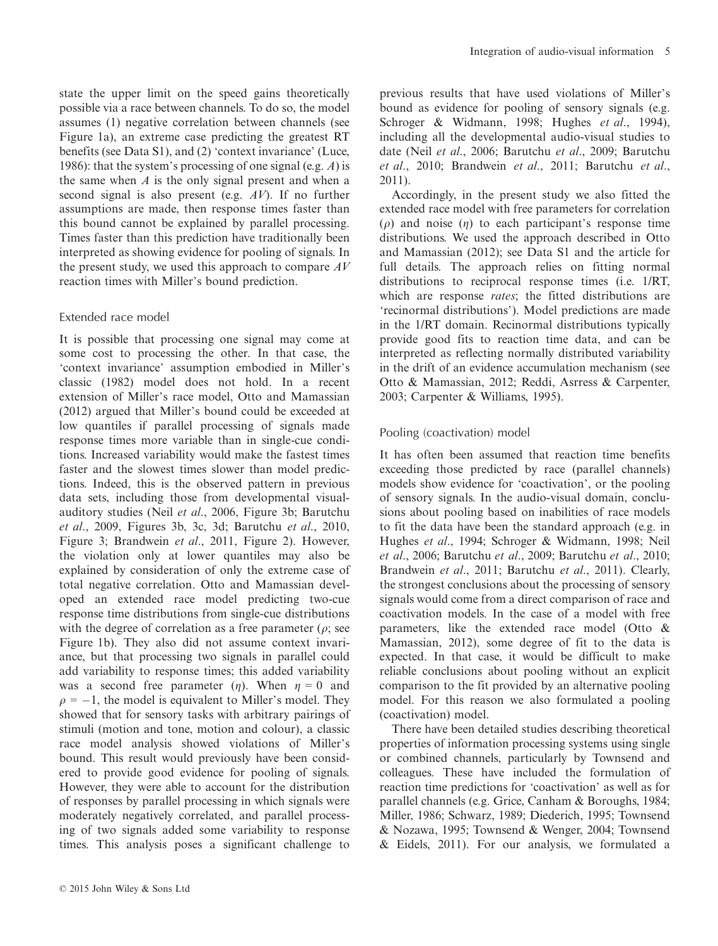state the upper limit on the speed gains theoretically possible via a race between channels. To do so, the model assumes (1) negative correlation between channels (see Figure 1a), an extreme case predicting the greatest RT benefits (see Data S1), and (2) 'context invariance' (Luce, 1986): that the system's processing of one signal (e.g. A) is the same when  $A$  is the only signal present and when a second signal is also present (e.g.  $AV$ ). If no further assumptions are made, then response times faster than this bound cannot be explained by parallel processing. Times faster than this prediction have traditionally been interpreted as showing evidence for pooling of signals. In the present study, we used this approach to compare  $AV$ reaction times with Miller's bound prediction.

#### Extended race model

It is possible that processing one signal may come at some cost to processing the other. In that case, the 'context invariance' assumption embodied in Miller's classic (1982) model does not hold. In a recent extension of Miller's race model, Otto and Mamassian (2012) argued that Miller's bound could be exceeded at low quantiles if parallel processing of signals made response times more variable than in single-cue conditions. Increased variability would make the fastest times faster and the slowest times slower than model predictions. Indeed, this is the observed pattern in previous data sets, including those from developmental visualauditory studies (Neil et al., 2006, Figure 3b; Barutchu et al., 2009, Figures 3b, 3c, 3d; Barutchu et al., 2010, Figure 3; Brandwein *et al.*, 2011, Figure 2). However, the violation only at lower quantiles may also be explained by consideration of only the extreme case of total negative correlation. Otto and Mamassian developed an extended race model predicting two-cue response time distributions from single-cue distributions with the degree of correlation as a free parameter ( $\rho$ ; see Figure 1b). They also did not assume context invariance, but that processing two signals in parallel could add variability to response times; this added variability was a second free parameter  $(\eta)$ . When  $\eta = 0$  and  $\rho = -1$ , the model is equivalent to Miller's model. They showed that for sensory tasks with arbitrary pairings of stimuli (motion and tone, motion and colour), a classic race model analysis showed violations of Miller's bound. This result would previously have been considered to provide good evidence for pooling of signals. However, they were able to account for the distribution of responses by parallel processing in which signals were moderately negatively correlated, and parallel processing of two signals added some variability to response times. This analysis poses a significant challenge to

Accordingly, in the present study we also fitted the extended race model with free parameters for correlation  $(\rho)$  and noise  $(\eta)$  to each participant's response time distributions. We used the approach described in Otto and Mamassian (2012); see Data S1 and the article for full details. The approach relies on fitting normal distributions to reciprocal response times (i.e. 1/RT, which are response *rates*; the fitted distributions are 'recinormal distributions'). Model predictions are made in the 1/RT domain. Recinormal distributions typically provide good fits to reaction time data, and can be interpreted as reflecting normally distributed variability in the drift of an evidence accumulation mechanism (see Otto & Mamassian, 2012; Reddi, Asrress & Carpenter, 2003; Carpenter & Williams, 1995).

### Pooling (coactivation) model

It has often been assumed that reaction time benefits exceeding those predicted by race (parallel channels) models show evidence for 'coactivation', or the pooling of sensory signals. In the audio-visual domain, conclusions about pooling based on inabilities of race models to fit the data have been the standard approach (e.g. in Hughes et al., 1994; Schroger & Widmann, 1998; Neil et al., 2006; Barutchu et al., 2009; Barutchu et al., 2010; Brandwein et al., 2011; Barutchu et al., 2011). Clearly, the strongest conclusions about the processing of sensory signals would come from a direct comparison of race and coactivation models. In the case of a model with free parameters, like the extended race model (Otto & Mamassian, 2012), some degree of fit to the data is expected. In that case, it would be difficult to make reliable conclusions about pooling without an explicit comparison to the fit provided by an alternative pooling model. For this reason we also formulated a pooling (coactivation) model.

There have been detailed studies describing theoretical properties of information processing systems using single or combined channels, particularly by Townsend and colleagues. These have included the formulation of reaction time predictions for 'coactivation' as well as for parallel channels (e.g. Grice, Canham & Boroughs, 1984; Miller, 1986; Schwarz, 1989; Diederich, 1995; Townsend & Nozawa, 1995; Townsend & Wenger, 2004; Townsend & Eidels, 2011). For our analysis, we formulated a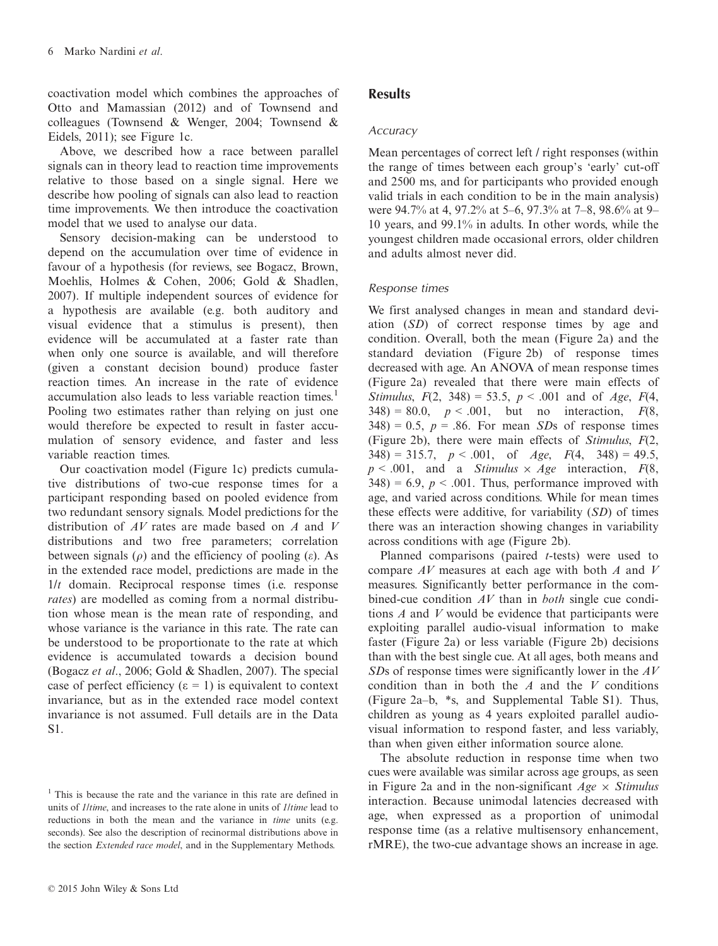coactivation model which combines the approaches of Otto and Mamassian (2012) and of Townsend and colleagues (Townsend & Wenger, 2004; Townsend & Eidels, 2011); see Figure 1c.

Above, we described how a race between parallel signals can in theory lead to reaction time improvements relative to those based on a single signal. Here we describe how pooling of signals can also lead to reaction time improvements. We then introduce the coactivation model that we used to analyse our data.

Sensory decision-making can be understood to depend on the accumulation over time of evidence in favour of a hypothesis (for reviews, see Bogacz, Brown, Moehlis, Holmes & Cohen, 2006; Gold & Shadlen, 2007). If multiple independent sources of evidence for a hypothesis are available (e.g. both auditory and visual evidence that a stimulus is present), then evidence will be accumulated at a faster rate than when only one source is available, and will therefore (given a constant decision bound) produce faster reaction times. An increase in the rate of evidence accumulation also leads to less variable reaction times.<sup>1</sup> Pooling two estimates rather than relying on just one would therefore be expected to result in faster accumulation of sensory evidence, and faster and less variable reaction times.

Our coactivation model (Figure 1c) predicts cumulative distributions of two-cue response times for a participant responding based on pooled evidence from two redundant sensory signals. Model predictions for the distribution of  $AV$  rates are made based on A and V distributions and two free parameters; correlation between signals  $(\rho)$  and the efficiency of pooling  $(\varepsilon)$ . As in the extended race model, predictions are made in the  $1/t$  domain. Reciprocal response times (i.e. response rates) are modelled as coming from a normal distribution whose mean is the mean rate of responding, and whose variance is the variance in this rate. The rate can be understood to be proportionate to the rate at which evidence is accumulated towards a decision bound (Bogacz et al., 2006; Gold & Shadlen, 2007). The special case of perfect efficiency ( $\varepsilon = 1$ ) is equivalent to context invariance, but as in the extended race model context invariance is not assumed. Full details are in the Data S1.

# **Results**

## **Accuracy**

Mean percentages of correct left / right responses (within the range of times between each group's 'early' cut-off and 2500 ms, and for participants who provided enough valid trials in each condition to be in the main analysis) were 94.7% at 4, 97.2% at 5–6, 97.3% at 7–8, 98.6% at 9– 10 years, and 99.1% in adults. In other words, while the youngest children made occasional errors, older children and adults almost never did.

## Response times

We first analysed changes in mean and standard deviation (SD) of correct response times by age and condition. Overall, both the mean (Figure 2a) and the standard deviation (Figure 2b) of response times decreased with age. An ANOVA of mean response times (Figure 2a) revealed that there were main effects of Stimulus,  $F(2, 348) = 53.5, p < .001$  and of Age,  $F(4, 4)$  $348 = 80.0, p < .001, but no interaction, F(8,$  $348$ ) = 0.5, p = .86. For mean SDs of response times (Figure 2b), there were main effects of Stimulus, F(2,  $348$ ) = 315.7,  $p < .001$ , of Age,  $F(4, 348) = 49.5$ ,  $p \leq .001$ , and a Stimulus  $\times$  Age interaction, F(8,  $348$ ) = 6.9,  $p < .001$ . Thus, performance improved with age, and varied across conditions. While for mean times these effects were additive, for variability (SD) of times there was an interaction showing changes in variability across conditions with age (Figure 2b).

Planned comparisons (paired  $t$ -tests) were used to compare  $AV$  measures at each age with both  $A$  and  $V$ measures. Significantly better performance in the combined-cue condition  $AV$  than in *both* single cue conditions A and V would be evidence that participants were exploiting parallel audio-visual information to make faster (Figure 2a) or less variable (Figure 2b) decisions than with the best single cue. At all ages, both means and  $SDs$  of response times were significantly lower in the  $AV$ condition than in both the  $A$  and the  $V$  conditions (Figure 2a–b, \*s, and Supplemental Table S1). Thus, children as young as 4 years exploited parallel audiovisual information to respond faster, and less variably, than when given either information source alone.

The absolute reduction in response time when two cues were available was similar across age groups, as seen in Figure 2a and in the non-significant  $Age \times Stimulus$ interaction. Because unimodal latencies decreased with age, when expressed as a proportion of unimodal response time (as a relative multisensory enhancement, rMRE), the two-cue advantage shows an increase in age.

<sup>&</sup>lt;sup>1</sup> This is because the rate and the variance in this rate are defined in units of 1/time, and increases to the rate alone in units of 1/time lead to reductions in both the mean and the variance in time units (e.g. seconds). See also the description of recinormal distributions above in the section Extended race model, and in the Supplementary Methods.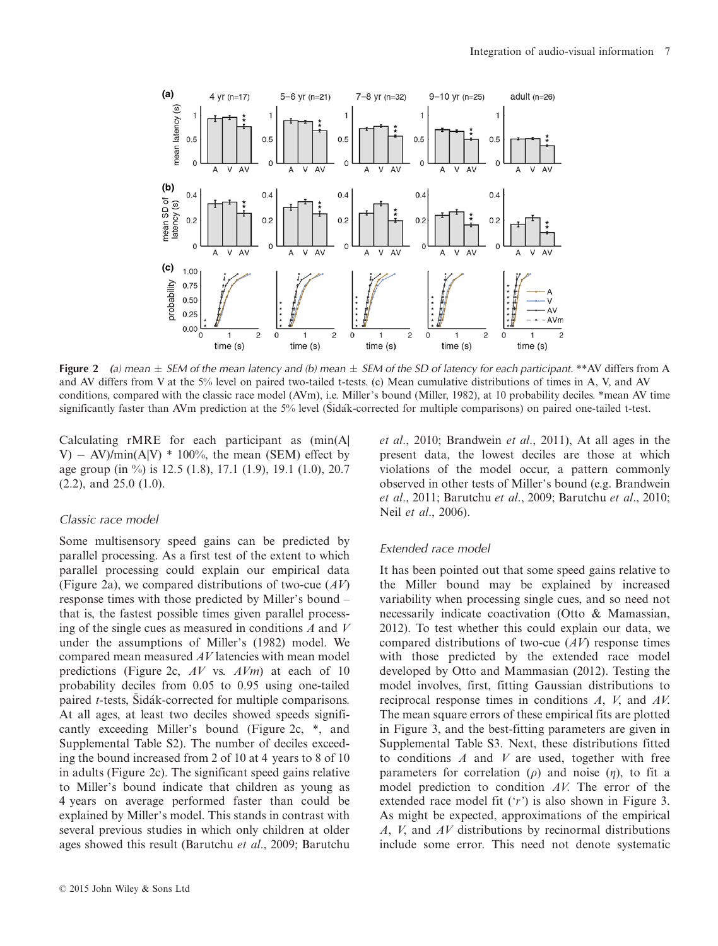

**Figure 2** (a) mean  $\pm$  SEM of the mean latency and (b) mean  $\pm$  SEM of the SD of latency for each participant. \*\*AV differs from A and AV differs from V at the 5% level on paired two-tailed t-tests. (c) Mean cumulative distributions of times in A, V, and AV conditions, compared with the classic race model (AVm), i.e. Miller's bound (Miller, 1982), at 10 probability deciles. \*mean AV time significantly faster than AVm prediction at the 5% level (Sidák-corrected for multiple comparisons) on paired one-tailed t-test.

Calculating rMRE for each participant as (min(A| V)  $-$  AV)/min(A|V)  $*$  100%, the mean (SEM) effect by age group (in %) is 12.5 (1.8), 17.1 (1.9), 19.1 (1.0), 20.7 (2.2), and 25.0 (1.0).

#### Classic race model

Some multisensory speed gains can be predicted by parallel processing. As a first test of the extent to which parallel processing could explain our empirical data (Figure 2a), we compared distributions of two-cue  $(AV)$ response times with those predicted by Miller's bound – that is, the fastest possible times given parallel processing of the single cues as measured in conditions  $A$  and  $V$ under the assumptions of Miller's (1982) model. We compared mean measured AV latencies with mean model predictions (Figure 2c,  $AV$  vs.  $AVm$ ) at each of 10 probability deciles from 0.05 to 0.95 using one-tailed paired *t*-tests, Sidák-corrected for multiple comparisons. At all ages, at least two deciles showed speeds significantly exceeding Miller's bound (Figure 2c, \*, and Supplemental Table S2). The number of deciles exceeding the bound increased from 2 of 10 at 4 years to 8 of 10 in adults (Figure 2c). The significant speed gains relative to Miller's bound indicate that children as young as 4 years on average performed faster than could be explained by Miller's model. This stands in contrast with several previous studies in which only children at older ages showed this result (Barutchu *et al.*, 2009; Barutchu et al., 2010; Brandwein et al., 2011), At all ages in the present data, the lowest deciles are those at which violations of the model occur, a pattern commonly observed in other tests of Miller's bound (e.g. Brandwein et al., 2011; Barutchu et al., 2009; Barutchu et al., 2010; Neil et al., 2006).

#### Extended race model

It has been pointed out that some speed gains relative to the Miller bound may be explained by increased variability when processing single cues, and so need not necessarily indicate coactivation (Otto & Mamassian, 2012). To test whether this could explain our data, we compared distributions of two-cue  $(AV)$  response times with those predicted by the extended race model developed by Otto and Mammasian (2012). Testing the model involves, first, fitting Gaussian distributions to reciprocal response times in conditions A, V, and AV. The mean square errors of these empirical fits are plotted in Figure 3, and the best-fitting parameters are given in Supplemental Table S3. Next, these distributions fitted to conditions  $A$  and  $V$  are used, together with free parameters for correlation ( $\rho$ ) and noise ( $\eta$ ), to fit a model prediction to condition AV. The error of the extended race model fit ('r') is also shown in Figure 3. As might be expected, approximations of the empirical A, V, and AV distributions by recinormal distributions include some error. This need not denote systematic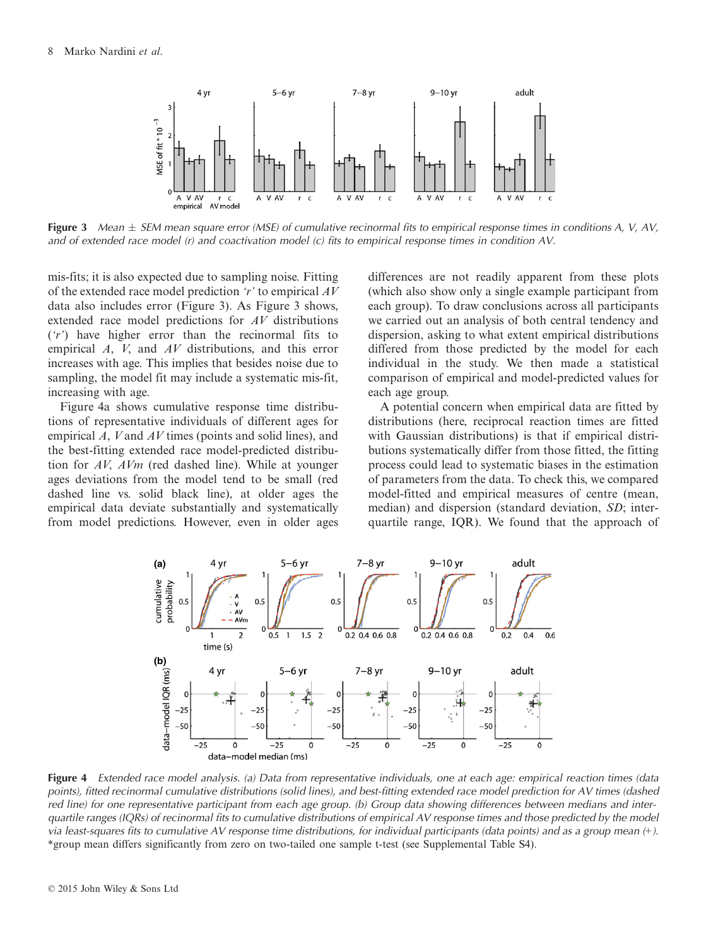

**Figure 3** Mean  $\pm$  SEM mean square error (MSE) of cumulative recinormal fits to empirical response times in conditions A, V, AV, and of extended race model (r) and coactivation model (c) fits to empirical response times in condition AV.

mis-fits; it is also expected due to sampling noise. Fitting of the extended race model prediction 'r' to empirical  $AV$ data also includes error (Figure 3). As Figure 3 shows, extended race model predictions for AV distributions ('r') have higher error than the recinormal fits to empirical A, V, and AV distributions, and this error increases with age. This implies that besides noise due to sampling, the model fit may include a systematic mis-fit, increasing with age.

Figure 4a shows cumulative response time distributions of representative individuals of different ages for empirical  $A$ ,  $V$  and  $AV$  times (points and solid lines), and the best-fitting extended race model-predicted distribution for  $AV$ ,  $AVm$  (red dashed line). While at younger ages deviations from the model tend to be small (red dashed line vs. solid black line), at older ages the empirical data deviate substantially and systematically from model predictions. However, even in older ages differences are not readily apparent from these plots (which also show only a single example participant from each group). To draw conclusions across all participants we carried out an analysis of both central tendency and dispersion, asking to what extent empirical distributions differed from those predicted by the model for each individual in the study. We then made a statistical comparison of empirical and model-predicted values for each age group.

A potential concern when empirical data are fitted by distributions (here, reciprocal reaction times are fitted with Gaussian distributions) is that if empirical distributions systematically differ from those fitted, the fitting process could lead to systematic biases in the estimation of parameters from the data. To check this, we compared model-fitted and empirical measures of centre (mean, median) and dispersion (standard deviation, SD; interquartile range, IQR). We found that the approach of



**Figure 4** Extended race model analysis. (a) Data from representative individuals, one at each age: empirical reaction times (data points), fitted recinormal cumulative distributions (solid lines), and best-fitting extended race model prediction for AV times (dashed red line) for one representative participant from each age group. (b) Group data showing differences between medians and interquartile ranges (IQRs) of recinormal fits to cumulative distributions of empirical AV response times and those predicted by the model via least-squares fits to cumulative AV response time distributions, for individual participants (data points) and as a group mean (+). \*group mean differs significantly from zero on two-tailed one sample t-test (see Supplemental Table S4).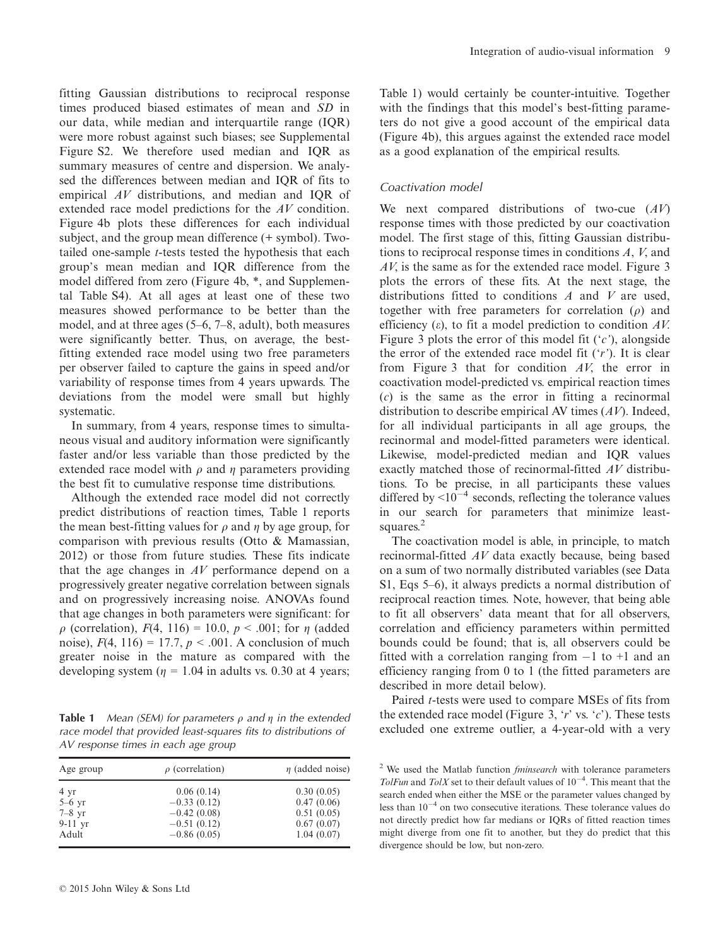fitting Gaussian distributions to reciprocal response times produced biased estimates of mean and SD in our data, while median and interquartile range (IQR) were more robust against such biases; see Supplemental Figure S2. We therefore used median and IQR as summary measures of centre and dispersion. We analysed the differences between median and IQR of fits to empirical AV distributions, and median and IQR of extended race model predictions for the AV condition. Figure 4b plots these differences for each individual subject, and the group mean difference (+ symbol). Twotailed one-sample  $t$ -tests tested the hypothesis that each group's mean median and IQR difference from the model differed from zero (Figure 4b, \*, and Supplemental Table S4). At all ages at least one of these two measures showed performance to be better than the model, and at three ages (5–6, 7–8, adult), both measures were significantly better. Thus, on average, the bestfitting extended race model using two free parameters per observer failed to capture the gains in speed and/or variability of response times from 4 years upwards. The deviations from the model were small but highly systematic.

In summary, from 4 years, response times to simultaneous visual and auditory information were significantly faster and/or less variable than those predicted by the extended race model with  $\rho$  and  $\eta$  parameters providing the best fit to cumulative response time distributions.

Although the extended race model did not correctly predict distributions of reaction times, Table 1 reports the mean best-fitting values for  $\rho$  and  $\eta$  by age group, for comparison with previous results (Otto & Mamassian, 2012) or those from future studies. These fits indicate that the age changes in  $AV$  performance depend on a progressively greater negative correlation between signals and on progressively increasing noise. ANOVAs found that age changes in both parameters were significant: for  $\rho$  (correlation),  $F(4, 116) = 10.0, p < .001$ ; for  $\eta$  (added noise),  $F(4, 116) = 17.7, p < .001$ . A conclusion of much greater noise in the mature as compared with the developing system ( $\eta$  = 1.04 in adults vs. 0.30 at 4 years;

**Table 1** Mean (SEM) for parameters  $\rho$  and  $\eta$  in the extended race model that provided least-squares fits to distributions of AV response times in each age group

| Age group | $\rho$ (correlation) | $\eta$ (added noise) |
|-----------|----------------------|----------------------|
| 4 yr      | 0.06(0.14)           | 0.30(0.05)           |
| $5-6$ yr  | $-0.33(0.12)$        | 0.47(0.06)           |
| $7-8$ yr  | $-0.42(0.08)$        | 0.51(0.05)           |
| $9-11$ yr | $-0.51(0.12)$        | 0.67(0.07)           |
| Adult     | $-0.86(0.05)$        | 1.04(0.07)           |

Table 1) would certainly be counter-intuitive. Together with the findings that this model's best-fitting parameters do not give a good account of the empirical data (Figure 4b), this argues against the extended race model as a good explanation of the empirical results.

#### Coactivation model

We next compared distributions of two-cue  $(AV)$ response times with those predicted by our coactivation model. The first stage of this, fitting Gaussian distributions to reciprocal response times in conditions A, V, and  $AV$ , is the same as for the extended race model. Figure 3 plots the errors of these fits. At the next stage, the distributions fitted to conditions  $A$  and  $V$  are used, together with free parameters for correlation  $(\rho)$  and efficiency  $(\varepsilon)$ , to fit a model prediction to condition AV. Figure 3 plots the error of this model fit  $('c')$ , alongside the error of the extended race model fit  $(r)$ . It is clear from Figure 3 that for condition AV, the error in coactivation model-predicted vs. empirical reaction times (c) is the same as the error in fitting a recinormal distribution to describe empirical AV times  $(AV)$ . Indeed, for all individual participants in all age groups, the recinormal and model-fitted parameters were identical. Likewise, model-predicted median and IQR values exactly matched those of recinormal-fitted AV distributions. To be precise, in all participants these values differed by  $\leq 10^{-4}$  seconds, reflecting the tolerance values in our search for parameters that minimize leastsquares.<sup>2</sup>

The coactivation model is able, in principle, to match recinormal-fitted AV data exactly because, being based on a sum of two normally distributed variables (see Data S1, Eqs 5–6), it always predicts a normal distribution of reciprocal reaction times. Note, however, that being able to fit all observers' data meant that for all observers, correlation and efficiency parameters within permitted bounds could be found; that is, all observers could be fitted with a correlation ranging from  $-1$  to  $+1$  and an efficiency ranging from 0 to 1 (the fitted parameters are described in more detail below).

Paired *t*-tests were used to compare MSEs of fits from the extended race model (Figure 3, 'r' vs.  $(c')$ ). These tests excluded one extreme outlier, a 4-year-old with a very

 $2$  We used the Matlab function *fminsearch* with tolerance parameters TolFun and TolX set to their default values of  $10^{-4}$ . This meant that the search ended when either the MSE or the parameter values changed by less than  $10^{-4}$  on two consecutive iterations. These tolerance values do not directly predict how far medians or IQRs of fitted reaction times might diverge from one fit to another, but they do predict that this divergence should be low, but non-zero.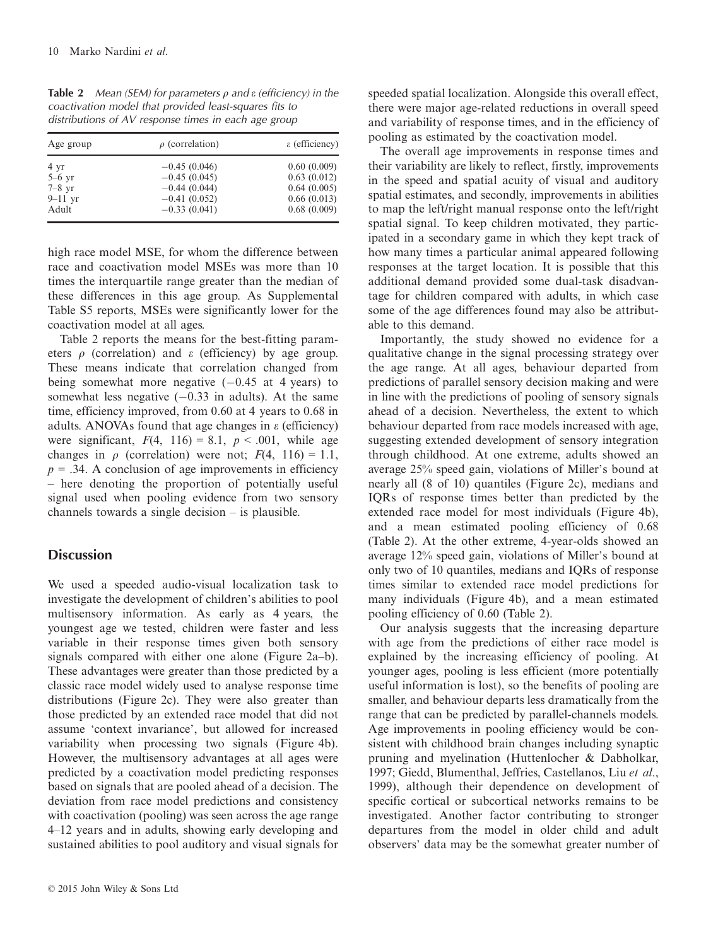**Table 2** Mean (SEM) for parameters  $\rho$  and  $\varepsilon$  (efficiency) in the coactivation model that provided least-squares fits to distributions of AV response times in each age group

| Age group                                 | $\rho$ (correlation)                                                 | $\epsilon$ (efficiency)                                  |
|-------------------------------------------|----------------------------------------------------------------------|----------------------------------------------------------|
| 4 yr<br>$5-6$ yr<br>$7-8$ yr<br>$9-11$ yr | $-0.45(0.046)$<br>$-0.45(0.045)$<br>$-0.44(0.044)$<br>$-0.41(0.052)$ | 0.60(0.009)<br>0.63(0.012)<br>0.64(0.005)<br>0.66(0.013) |
| Adult                                     | $-0.33(0.041)$                                                       | 0.68(0.009)                                              |

high race model MSE, for whom the difference between race and coactivation model MSEs was more than 10 times the interquartile range greater than the median of these differences in this age group. As Supplemental Table S5 reports, MSEs were significantly lower for the coactivation model at all ages.

Table 2 reports the means for the best-fitting parameters  $\rho$  (correlation) and  $\varepsilon$  (efficiency) by age group. These means indicate that correlation changed from being somewhat more negative  $(-0.45$  at 4 years) to somewhat less negative  $(-0.33$  in adults). At the same time, efficiency improved, from 0.60 at 4 years to 0.68 in adults. ANOVAs found that age changes in  $\varepsilon$  (efficiency) were significant,  $F(4, 116) = 8.1$ ,  $p < .001$ , while age changes in  $\rho$  (correlation) were not;  $F(4, 116) = 1.1$ ,  $p = .34$ . A conclusion of age improvements in efficiency – here denoting the proportion of potentially useful signal used when pooling evidence from two sensory channels towards a single decision – is plausible.

# **Discussion**

We used a speeded audio-visual localization task to investigate the development of children's abilities to pool multisensory information. As early as 4 years, the youngest age we tested, children were faster and less variable in their response times given both sensory signals compared with either one alone (Figure 2a–b). These advantages were greater than those predicted by a classic race model widely used to analyse response time distributions (Figure 2c). They were also greater than those predicted by an extended race model that did not assume 'context invariance', but allowed for increased variability when processing two signals (Figure 4b). However, the multisensory advantages at all ages were predicted by a coactivation model predicting responses based on signals that are pooled ahead of a decision. The deviation from race model predictions and consistency with coactivation (pooling) was seen across the age range 4–12 years and in adults, showing early developing and sustained abilities to pool auditory and visual signals for

The overall age improvements in response times and their variability are likely to reflect, firstly, improvements in the speed and spatial acuity of visual and auditory spatial estimates, and secondly, improvements in abilities to map the left/right manual response onto the left/right spatial signal. To keep children motivated, they participated in a secondary game in which they kept track of how many times a particular animal appeared following responses at the target location. It is possible that this additional demand provided some dual-task disadvantage for children compared with adults, in which case some of the age differences found may also be attributable to this demand.

Importantly, the study showed no evidence for a qualitative change in the signal processing strategy over the age range. At all ages, behaviour departed from predictions of parallel sensory decision making and were in line with the predictions of pooling of sensory signals ahead of a decision. Nevertheless, the extent to which behaviour departed from race models increased with age, suggesting extended development of sensory integration through childhood. At one extreme, adults showed an average 25% speed gain, violations of Miller's bound at nearly all (8 of 10) quantiles (Figure 2c), medians and IQRs of response times better than predicted by the extended race model for most individuals (Figure 4b), and a mean estimated pooling efficiency of 0.68 (Table 2). At the other extreme, 4-year-olds showed an average 12% speed gain, violations of Miller's bound at only two of 10 quantiles, medians and IQRs of response times similar to extended race model predictions for many individuals (Figure 4b), and a mean estimated pooling efficiency of 0.60 (Table 2).

Our analysis suggests that the increasing departure with age from the predictions of either race model is explained by the increasing efficiency of pooling. At younger ages, pooling is less efficient (more potentially useful information is lost), so the benefits of pooling are smaller, and behaviour departs less dramatically from the range that can be predicted by parallel-channels models. Age improvements in pooling efficiency would be consistent with childhood brain changes including synaptic pruning and myelination (Huttenlocher & Dabholkar, 1997; Giedd, Blumenthal, Jeffries, Castellanos, Liu et al., 1999), although their dependence on development of specific cortical or subcortical networks remains to be investigated. Another factor contributing to stronger departures from the model in older child and adult observers' data may be the somewhat greater number of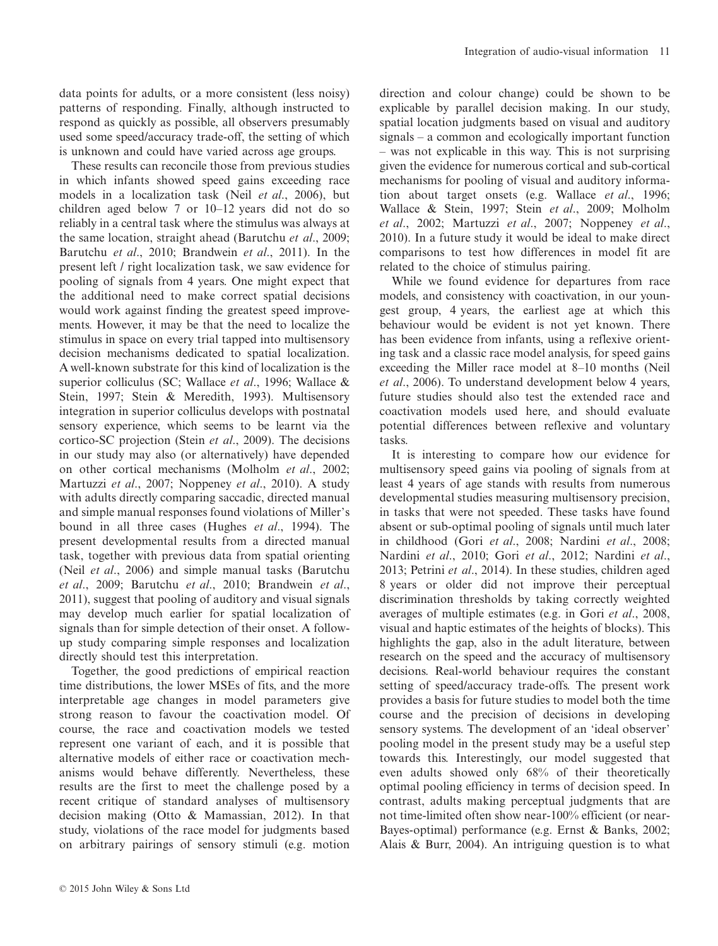data points for adults, or a more consistent (less noisy) patterns of responding. Finally, although instructed to respond as quickly as possible, all observers presumably used some speed/accuracy trade-off, the setting of which is unknown and could have varied across age groups.

These results can reconcile those from previous studies in which infants showed speed gains exceeding race models in a localization task (Neil et al., 2006), but children aged below 7 or 10–12 years did not do so reliably in a central task where the stimulus was always at the same location, straight ahead (Barutchu et al., 2009; Barutchu et al., 2010; Brandwein et al., 2011). In the present left / right localization task, we saw evidence for pooling of signals from 4 years. One might expect that the additional need to make correct spatial decisions would work against finding the greatest speed improvements. However, it may be that the need to localize the stimulus in space on every trial tapped into multisensory decision mechanisms dedicated to spatial localization. A well-known substrate for this kind of localization is the superior colliculus (SC; Wallace et al., 1996; Wallace & Stein, 1997; Stein & Meredith, 1993). Multisensory integration in superior colliculus develops with postnatal sensory experience, which seems to be learnt via the cortico-SC projection (Stein et al., 2009). The decisions in our study may also (or alternatively) have depended on other cortical mechanisms (Molholm et al., 2002; Martuzzi et al., 2007; Noppeney et al., 2010). A study with adults directly comparing saccadic, directed manual and simple manual responses found violations of Miller's bound in all three cases (Hughes et al., 1994). The present developmental results from a directed manual task, together with previous data from spatial orienting (Neil et al., 2006) and simple manual tasks (Barutchu et al., 2009; Barutchu et al., 2010; Brandwein et al., 2011), suggest that pooling of auditory and visual signals may develop much earlier for spatial localization of signals than for simple detection of their onset. A followup study comparing simple responses and localization directly should test this interpretation.

Together, the good predictions of empirical reaction time distributions, the lower MSEs of fits, and the more interpretable age changes in model parameters give strong reason to favour the coactivation model. Of course, the race and coactivation models we tested represent one variant of each, and it is possible that alternative models of either race or coactivation mechanisms would behave differently. Nevertheless, these results are the first to meet the challenge posed by a recent critique of standard analyses of multisensory decision making (Otto & Mamassian, 2012). In that study, violations of the race model for judgments based on arbitrary pairings of sensory stimuli (e.g. motion

direction and colour change) could be shown to be explicable by parallel decision making. In our study, spatial location judgments based on visual and auditory signals – a common and ecologically important function – was not explicable in this way. This is not surprising given the evidence for numerous cortical and sub-cortical mechanisms for pooling of visual and auditory information about target onsets (e.g. Wallace *et al.*, 1996; Wallace & Stein, 1997; Stein et al., 2009; Molholm et al., 2002; Martuzzi et al., 2007; Noppeney et al., 2010). In a future study it would be ideal to make direct comparisons to test how differences in model fit are related to the choice of stimulus pairing.

While we found evidence for departures from race models, and consistency with coactivation, in our youngest group, 4 years, the earliest age at which this behaviour would be evident is not yet known. There has been evidence from infants, using a reflexive orienting task and a classic race model analysis, for speed gains exceeding the Miller race model at 8–10 months (Neil et al., 2006). To understand development below 4 years, future studies should also test the extended race and coactivation models used here, and should evaluate potential differences between reflexive and voluntary tasks.

It is interesting to compare how our evidence for multisensory speed gains via pooling of signals from at least 4 years of age stands with results from numerous developmental studies measuring multisensory precision, in tasks that were not speeded. These tasks have found absent or sub-optimal pooling of signals until much later in childhood (Gori et al., 2008; Nardini et al., 2008; Nardini et al., 2010; Gori et al., 2012; Nardini et al., 2013; Petrini *et al.*, 2014). In these studies, children aged 8 years or older did not improve their perceptual discrimination thresholds by taking correctly weighted averages of multiple estimates (e.g. in Gori et al., 2008, visual and haptic estimates of the heights of blocks). This highlights the gap, also in the adult literature, between research on the speed and the accuracy of multisensory decisions. Real-world behaviour requires the constant setting of speed/accuracy trade-offs. The present work provides a basis for future studies to model both the time course and the precision of decisions in developing sensory systems. The development of an 'ideal observer' pooling model in the present study may be a useful step towards this. Interestingly, our model suggested that even adults showed only 68% of their theoretically optimal pooling efficiency in terms of decision speed. In contrast, adults making perceptual judgments that are not time-limited often show near-100% efficient (or near-Bayes-optimal) performance (e.g. Ernst & Banks, 2002; Alais & Burr, 2004). An intriguing question is to what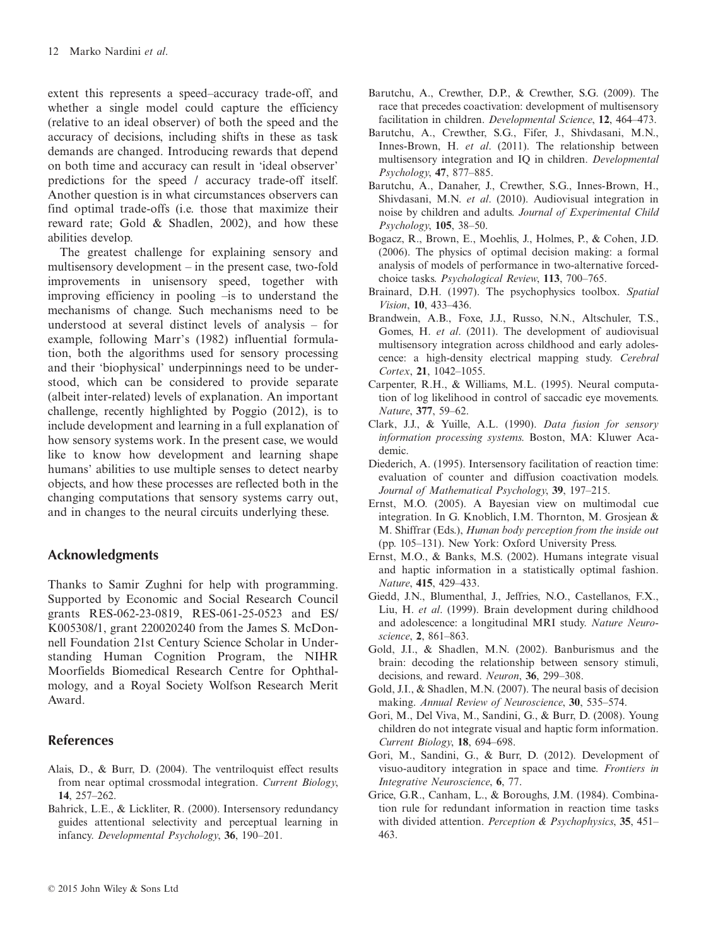extent this represents a speed–accuracy trade-off, and whether a single model could capture the efficiency (relative to an ideal observer) of both the speed and the accuracy of decisions, including shifts in these as task demands are changed. Introducing rewards that depend on both time and accuracy can result in 'ideal observer' predictions for the speed / accuracy trade-off itself. Another question is in what circumstances observers can find optimal trade-offs (i.e. those that maximize their reward rate; Gold & Shadlen, 2002), and how these abilities develop.

The greatest challenge for explaining sensory and multisensory development – in the present case, two-fold improvements in unisensory speed, together with improving efficiency in pooling –is to understand the mechanisms of change. Such mechanisms need to be understood at several distinct levels of analysis – for example, following Marr's (1982) influential formulation, both the algorithms used for sensory processing and their 'biophysical' underpinnings need to be understood, which can be considered to provide separate (albeit inter-related) levels of explanation. An important challenge, recently highlighted by Poggio (2012), is to include development and learning in a full explanation of how sensory systems work. In the present case, we would like to know how development and learning shape humans' abilities to use multiple senses to detect nearby objects, and how these processes are reflected both in the changing computations that sensory systems carry out, and in changes to the neural circuits underlying these.

# Acknowledgments

Thanks to Samir Zughni for help with programming. Supported by Economic and Social Research Council grants RES-062-23-0819, RES-061-25-0523 and ES/ K005308/1, grant 220020240 from the James S. McDonnell Foundation 21st Century Science Scholar in Understanding Human Cognition Program, the NIHR Moorfields Biomedical Research Centre for Ophthalmology, and a Royal Society Wolfson Research Merit Award.

# References

- Alais, D., & Burr, D. (2004). The ventriloquist effect results from near optimal crossmodal integration. Current Biology, 14, 257–262.
- Bahrick, L.E., & Lickliter, R. (2000). Intersensory redundancy guides attentional selectivity and perceptual learning in infancy. Developmental Psychology, 36, 190–201.
- Barutchu, A., Crewther, D.P., & Crewther, S.G. (2009). The race that precedes coactivation: development of multisensory facilitation in children. Developmental Science, 12, 464–473.
- Barutchu, A., Crewther, S.G., Fifer, J., Shivdasani, M.N., Innes-Brown, H. et al. (2011). The relationship between multisensory integration and IQ in children. Developmental Psychology, 47, 877–885.
- Barutchu, A., Danaher, J., Crewther, S.G., Innes-Brown, H., Shivdasani, M.N. et al. (2010). Audiovisual integration in noise by children and adults. Journal of Experimental Child Psychology, 105, 38–50.
- Bogacz, R., Brown, E., Moehlis, J., Holmes, P., & Cohen, J.D. (2006). The physics of optimal decision making: a formal analysis of models of performance in two-alternative forcedchoice tasks. Psychological Review, 113, 700–765.
- Brainard, D.H. (1997). The psychophysics toolbox. Spatial Vision, 10, 433–436.
- Brandwein, A.B., Foxe, J.J., Russo, N.N., Altschuler, T.S., Gomes, H. et al. (2011). The development of audiovisual multisensory integration across childhood and early adolescence: a high-density electrical mapping study. Cerebral Cortex, 21, 1042–1055.
- Carpenter, R.H., & Williams, M.L. (1995). Neural computation of log likelihood in control of saccadic eye movements. Nature, 377, 59–62.
- Clark, J.J., & Yuille, A.L. (1990). Data fusion for sensory information processing systems. Boston, MA: Kluwer Academic.
- Diederich, A. (1995). Intersensory facilitation of reaction time: evaluation of counter and diffusion coactivation models. Journal of Mathematical Psychology, 39, 197–215.
- Ernst, M.O. (2005). A Bayesian view on multimodal cue integration. In G. Knoblich, I.M. Thornton, M. Grosjean & M. Shiffrar (Eds.), Human body perception from the inside out (pp. 105–131). New York: Oxford University Press.
- Ernst, M.O., & Banks, M.S. (2002). Humans integrate visual and haptic information in a statistically optimal fashion. Nature, 415, 429–433.
- Giedd, J.N., Blumenthal, J., Jeffries, N.O., Castellanos, F.X., Liu, H. et al. (1999). Brain development during childhood and adolescence: a longitudinal MRI study. Nature Neuroscience, 2, 861–863.
- Gold, J.I., & Shadlen, M.N. (2002). Banburismus and the brain: decoding the relationship between sensory stimuli, decisions, and reward. Neuron, 36, 299–308.
- Gold, J.I., & Shadlen, M.N. (2007). The neural basis of decision making. Annual Review of Neuroscience, 30, 535–574.
- Gori, M., Del Viva, M., Sandini, G., & Burr, D. (2008). Young children do not integrate visual and haptic form information. Current Biology, 18, 694–698.
- Gori, M., Sandini, G., & Burr, D. (2012). Development of visuo-auditory integration in space and time. Frontiers in Integrative Neuroscience, 6, 77.
- Grice, G.R., Canham, L., & Boroughs, J.M. (1984). Combination rule for redundant information in reaction time tasks with divided attention. Perception & Psychophysics, 35, 451-463.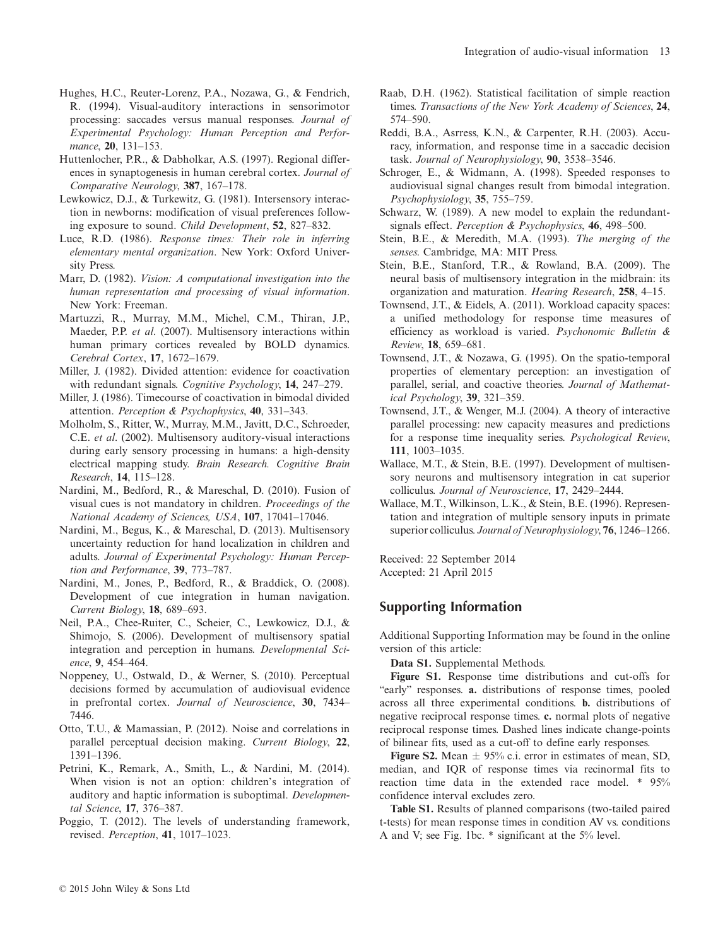- Hughes, H.C., Reuter-Lorenz, P.A., Nozawa, G., & Fendrich, R. (1994). Visual-auditory interactions in sensorimotor processing: saccades versus manual responses. Journal of Experimental Psychology: Human Perception and Performance, 20, 131-153.
- Huttenlocher, P.R., & Dabholkar, A.S. (1997). Regional differences in synaptogenesis in human cerebral cortex. Journal of Comparative Neurology, 387, 167–178.
- Lewkowicz, D.J., & Turkewitz, G. (1981). Intersensory interaction in newborns: modification of visual preferences following exposure to sound. Child Development, 52, 827–832.
- Luce, R.D. (1986). Response times: Their role in inferring elementary mental organization. New York: Oxford University Press.
- Marr, D. (1982). Vision: A computational investigation into the human representation and processing of visual information. New York: Freeman.
- Martuzzi, R., Murray, M.M., Michel, C.M., Thiran, J.P., Maeder, P.P. et al. (2007). Multisensory interactions within human primary cortices revealed by BOLD dynamics. Cerebral Cortex, 17, 1672–1679.
- Miller, J. (1982). Divided attention: evidence for coactivation with redundant signals. Cognitive Psychology, 14, 247–279.
- Miller, J. (1986). Timecourse of coactivation in bimodal divided attention. Perception & Psychophysics, 40, 331–343.
- Molholm, S., Ritter, W., Murray, M.M., Javitt, D.C., Schroeder, C.E. et al. (2002). Multisensory auditory-visual interactions during early sensory processing in humans: a high-density electrical mapping study. Brain Research. Cognitive Brain Research, 14, 115–128.
- Nardini, M., Bedford, R., & Mareschal, D. (2010). Fusion of visual cues is not mandatory in children. Proceedings of the National Academy of Sciences, USA, 107, 17041–17046.
- Nardini, M., Begus, K., & Mareschal, D. (2013). Multisensory uncertainty reduction for hand localization in children and adults. Journal of Experimental Psychology: Human Perception and Performance, 39, 773–787.
- Nardini, M., Jones, P., Bedford, R., & Braddick, O. (2008). Development of cue integration in human navigation. Current Biology, <sup>18</sup>, 689–693.
- Neil, P.A., Chee-Ruiter, C., Scheier, C., Lewkowicz, D.J., & Shimojo, S. (2006). Development of multisensory spatial integration and perception in humans. Developmental Science, 9, 454–464.
- Noppeney, U., Ostwald, D., & Werner, S. (2010). Perceptual decisions formed by accumulation of audiovisual evidence in prefrontal cortex. Journal of Neuroscience, 30, 7434– 7446.
- Otto, T.U., & Mamassian, P. (2012). Noise and correlations in parallel perceptual decision making. Current Biology, 22, 1391–1396.
- Petrini, K., Remark, A., Smith, L., & Nardini, M. (2014). When vision is not an option: children's integration of auditory and haptic information is suboptimal. Developmental Science, 17, 376–387.
- Poggio, T. (2012). The levels of understanding framework, revised. Perception, 41, 1017–1023.
- Raab, D.H. (1962). Statistical facilitation of simple reaction times. Transactions of the New York Academy of Sciences, 24, 574–590.
- Reddi, B.A., Asrress, K.N., & Carpenter, R.H. (2003). Accuracy, information, and response time in a saccadic decision task. Journal of Neurophysiology, 90, 3538–3546.
- Schroger, E., & Widmann, A. (1998). Speeded responses to audiovisual signal changes result from bimodal integration. Psychophysiology, 35, 755–759.
- Schwarz, W. (1989). A new model to explain the redundantsignals effect. *Perception & Psychophysics*, 46, 498–500.
- Stein, B.E., & Meredith, M.A. (1993). The merging of the senses. Cambridge, MA: MIT Press.
- Stein, B.E., Stanford, T.R., & Rowland, B.A. (2009). The neural basis of multisensory integration in the midbrain: its organization and maturation. Hearing Research, 258, 4–15.
- Townsend, J.T., & Eidels, A. (2011). Workload capacity spaces: a unified methodology for response time measures of efficiency as workload is varied. Psychonomic Bulletin & Review, 18, 659–681.
- Townsend, J.T., & Nozawa, G. (1995). On the spatio-temporal properties of elementary perception: an investigation of parallel, serial, and coactive theories. Journal of Mathematical Psychology, 39, 321–359.
- Townsend, J.T., & Wenger, M.J. (2004). A theory of interactive parallel processing: new capacity measures and predictions for a response time inequality series. Psychological Review, 111, 1003–1035.
- Wallace, M.T., & Stein, B.E. (1997). Development of multisensory neurons and multisensory integration in cat superior colliculus. Journal of Neuroscience, 17, 2429–2444.
- Wallace, M.T., Wilkinson, L.K., & Stein, B.E. (1996). Representation and integration of multiple sensory inputs in primate superior colliculus. Journal of Neurophysiology, **76**, 1246–1266.

Received: 22 September 2014 Accepted: 21 April 2015

# Supporting Information

Additional Supporting Information may be found in the online version of this article:

Data S1. Supplemental Methods.

Figure S1. Response time distributions and cut-offs for "early" responses. a. distributions of response times, pooled across all three experimental conditions. b. distributions of negative reciprocal response times. c. normal plots of negative reciprocal response times. Dashed lines indicate change-points of bilinear fits, used as a cut-off to define early responses.

Figure S2. Mean  $\pm$  95% c.i. error in estimates of mean, SD, median, and IQR of response times via recinormal fits to reaction time data in the extended race model. \* 95% confidence interval excludes zero.

Table S1. Results of planned comparisons (two-tailed paired t-tests) for mean response times in condition AV vs. conditions A and V; see Fig. 1bc. \* significant at the 5% level.